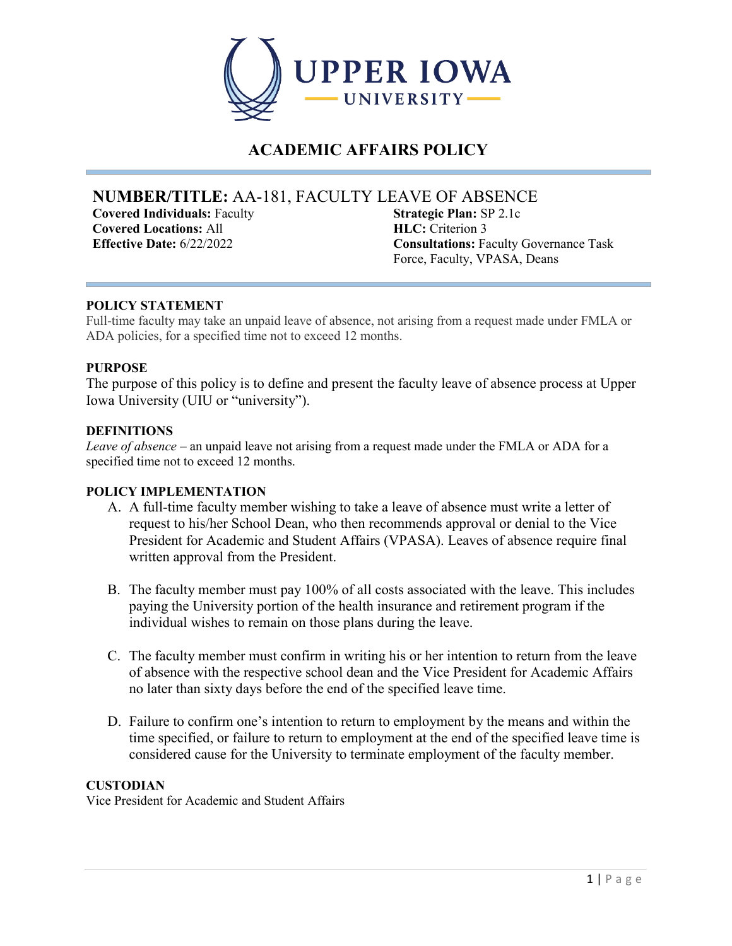

# **ACADEMIC AFFAIRS POLICY**

# **NUMBER/TITLE:** AA-181, FACULTY LEAVE OF ABSENCE

**Covered Individuals:** Faculty **Covered Locations:** All

**Strategic Plan:** SP 2.1c **HLC:** Criterion 3 **Effective Date:** 6/22/2022 **Consultations:** Faculty Governance Task Force, Faculty, VPASA, Deans

## **POLICY STATEMENT**

Full-time faculty may take an unpaid leave of absence, not arising from a request made under FMLA or ADA policies, for a specified time not to exceed 12 months.

### **PURPOSE**

The purpose of this policy is to define and present the faculty leave of absence process at Upper Iowa University (UIU or "university").

#### **DEFINITIONS**

*Leave of absence –* an unpaid leave not arising from a request made under the FMLA or ADA for a specified time not to exceed 12 months.

#### **POLICY IMPLEMENTATION**

- A. A full-time faculty member wishing to take a leave of absence must write a letter of request to his/her School Dean, who then recommends approval or denial to the Vice President for Academic and Student Affairs (VPASA). Leaves of absence require final written approval from the President.
- B. The faculty member must pay 100% of all costs associated with the leave. This includes paying the University portion of the health insurance and retirement program if the individual wishes to remain on those plans during the leave.
- C. The faculty member must confirm in writing his or her intention to return from the leave of absence with the respective school dean and the Vice President for Academic Affairs no later than sixty days before the end of the specified leave time.
- D. Failure to confirm one's intention to return to employment by the means and within the time specified, or failure to return to employment at the end of the specified leave time is considered cause for the University to terminate employment of the faculty member.

### **CUSTODIAN**

Vice President for Academic and Student Affairs